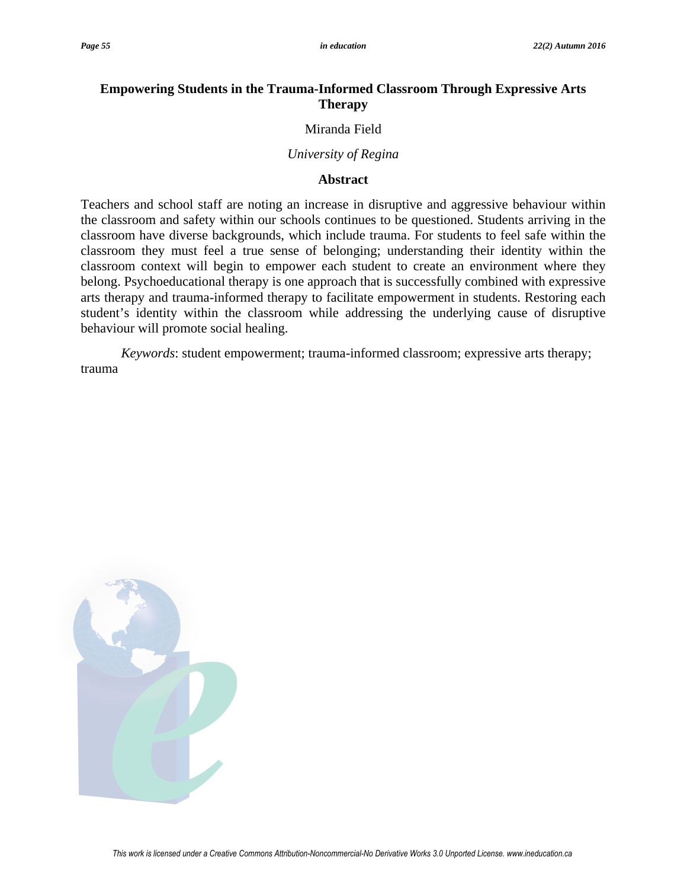# **Empowering Students in the Trauma-Informed Classroom Through Expressive Arts Therapy**

### Miranda Field

### *University of Regina*

## **Abstract**

Teachers and school staff are noting an increase in disruptive and aggressive behaviour within the classroom and safety within our schools continues to be questioned. Students arriving in the classroom have diverse backgrounds, which include trauma. For students to feel safe within the classroom they must feel a true sense of belonging; understanding their identity within the classroom context will begin to empower each student to create an environment where they belong. Psychoeducational therapy is one approach that is successfully combined with expressive arts therapy and trauma-informed therapy to facilitate empowerment in students. Restoring each student's identity within the classroom while addressing the underlying cause of disruptive behaviour will promote social healing.

*Keywords*: student empowerment; trauma-informed classroom; expressive arts therapy; trauma

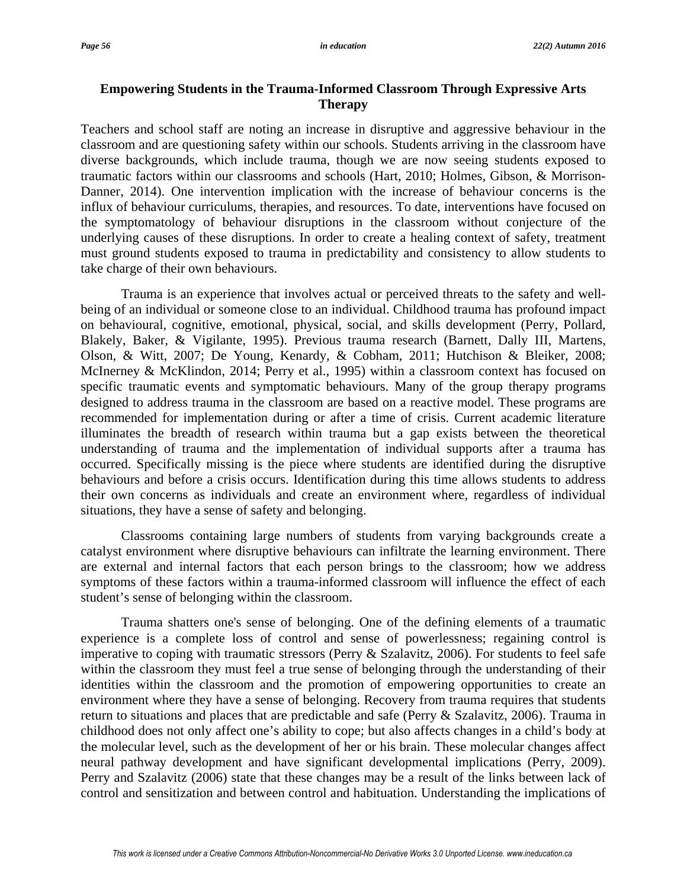## **Empowering Students in the Trauma-Informed Classroom Through Expressive Arts Therapy**

Teachers and school staff are noting an increase in disruptive and aggressive behaviour in the classroom and are questioning safety within our schools. Students arriving in the classroom have diverse backgrounds, which include trauma, though we are now seeing students exposed to traumatic factors within our classrooms and schools (Hart, 2010; Holmes, Gibson, & Morrison-Danner, 2014). One intervention implication with the increase of behaviour concerns is the influx of behaviour curriculums, therapies, and resources. To date, interventions have focused on the symptomatology of behaviour disruptions in the classroom without conjecture of the underlying causes of these disruptions. In order to create a healing context of safety, treatment must ground students exposed to trauma in predictability and consistency to allow students to take charge of their own behaviours.

Trauma is an experience that involves actual or perceived threats to the safety and wellbeing of an individual or someone close to an individual. Childhood trauma has profound impact on behavioural, cognitive, emotional, physical, social, and skills development (Perry, Pollard, Blakely, Baker, & Vigilante, 1995). Previous trauma research (Barnett, Dally III, Martens, Olson, & Witt, 2007; De Young, Kenardy, & Cobham, 2011; Hutchison & Bleiker, 2008; McInerney & McKlindon, 2014; Perry et al., 1995) within a classroom context has focused on specific traumatic events and symptomatic behaviours. Many of the group therapy programs designed to address trauma in the classroom are based on a reactive model. These programs are recommended for implementation during or after a time of crisis. Current academic literature illuminates the breadth of research within trauma but a gap exists between the theoretical understanding of trauma and the implementation of individual supports after a trauma has occurred. Specifically missing is the piece where students are identified during the disruptive behaviours and before a crisis occurs. Identification during this time allows students to address their own concerns as individuals and create an environment where, regardless of individual situations, they have a sense of safety and belonging.

Classrooms containing large numbers of students from varying backgrounds create a catalyst environment where disruptive behaviours can infiltrate the learning environment. There are external and internal factors that each person brings to the classroom; how we address symptoms of these factors within a trauma-informed classroom will influence the effect of each student's sense of belonging within the classroom.

Trauma shatters one's sense of belonging. One of the defining elements of a traumatic experience is a complete loss of control and sense of powerlessness; regaining control is imperative to coping with traumatic stressors (Perry & Szalavitz, 2006). For students to feel safe within the classroom they must feel a true sense of belonging through the understanding of their identities within the classroom and the promotion of empowering opportunities to create an environment where they have a sense of belonging. Recovery from trauma requires that students return to situations and places that are predictable and safe (Perry & Szalavitz, 2006). Trauma in childhood does not only affect one's ability to cope; but also affects changes in a child's body at the molecular level, such as the development of her or his brain. These molecular changes affect neural pathway development and have significant developmental implications (Perry, 2009). Perry and Szalavitz (2006) state that these changes may be a result of the links between lack of control and sensitization and between control and habituation. Understanding the implications of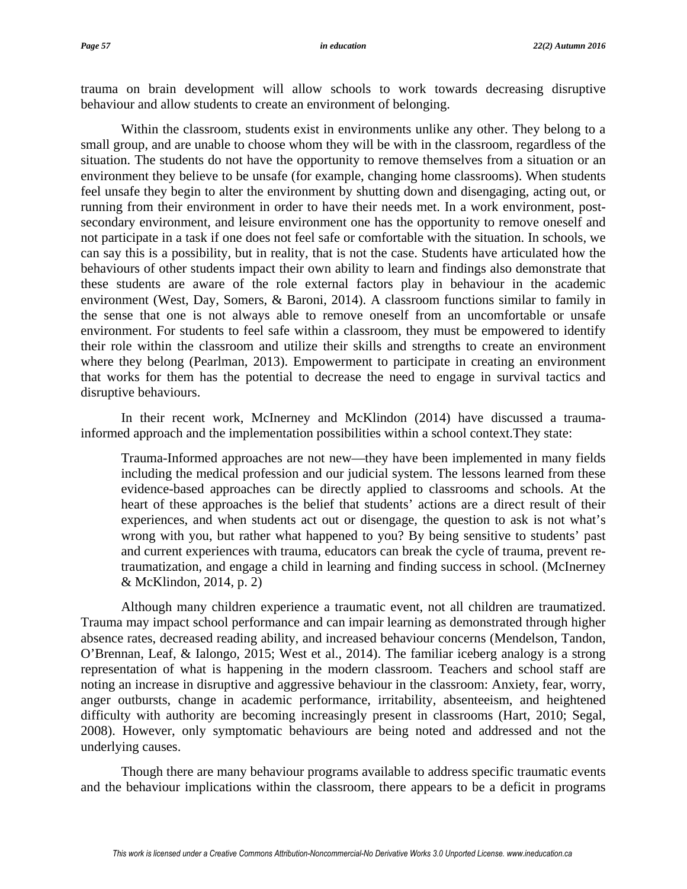trauma on brain development will allow schools to work towards decreasing disruptive behaviour and allow students to create an environment of belonging.

Within the classroom, students exist in environments unlike any other. They belong to a small group, and are unable to choose whom they will be with in the classroom, regardless of the situation. The students do not have the opportunity to remove themselves from a situation or an environment they believe to be unsafe (for example, changing home classrooms). When students feel unsafe they begin to alter the environment by shutting down and disengaging, acting out, or running from their environment in order to have their needs met. In a work environment, postsecondary environment, and leisure environment one has the opportunity to remove oneself and not participate in a task if one does not feel safe or comfortable with the situation. In schools, we can say this is a possibility, but in reality, that is not the case. Students have articulated how the behaviours of other students impact their own ability to learn and findings also demonstrate that these students are aware of the role external factors play in behaviour in the academic environment (West, Day, Somers, & Baroni, 2014). A classroom functions similar to family in the sense that one is not always able to remove oneself from an uncomfortable or unsafe environment. For students to feel safe within a classroom, they must be empowered to identify their role within the classroom and utilize their skills and strengths to create an environment where they belong (Pearlman, 2013). Empowerment to participate in creating an environment that works for them has the potential to decrease the need to engage in survival tactics and disruptive behaviours.

 In their recent work, McInerney and McKlindon (2014) have discussed a traumainformed approach and the implementation possibilities within a school context.They state:

Trauma-Informed approaches are not new—they have been implemented in many fields including the medical profession and our judicial system. The lessons learned from these evidence-based approaches can be directly applied to classrooms and schools. At the heart of these approaches is the belief that students' actions are a direct result of their experiences, and when students act out or disengage, the question to ask is not what's wrong with you, but rather what happened to you? By being sensitive to students' past and current experiences with trauma, educators can break the cycle of trauma, prevent retraumatization, and engage a child in learning and finding success in school. (McInerney & McKlindon, 2014, p. 2)

Although many children experience a traumatic event, not all children are traumatized. Trauma may impact school performance and can impair learning as demonstrated through higher absence rates, decreased reading ability, and increased behaviour concerns (Mendelson, Tandon, O'Brennan, Leaf, & Ialongo, 2015; West et al., 2014). The familiar iceberg analogy is a strong representation of what is happening in the modern classroom. Teachers and school staff are noting an increase in disruptive and aggressive behaviour in the classroom: Anxiety, fear, worry, anger outbursts, change in academic performance, irritability, absenteeism, and heightened difficulty with authority are becoming increasingly present in classrooms (Hart, 2010; Segal, 2008). However, only symptomatic behaviours are being noted and addressed and not the underlying causes.

Though there are many behaviour programs available to address specific traumatic events and the behaviour implications within the classroom, there appears to be a deficit in programs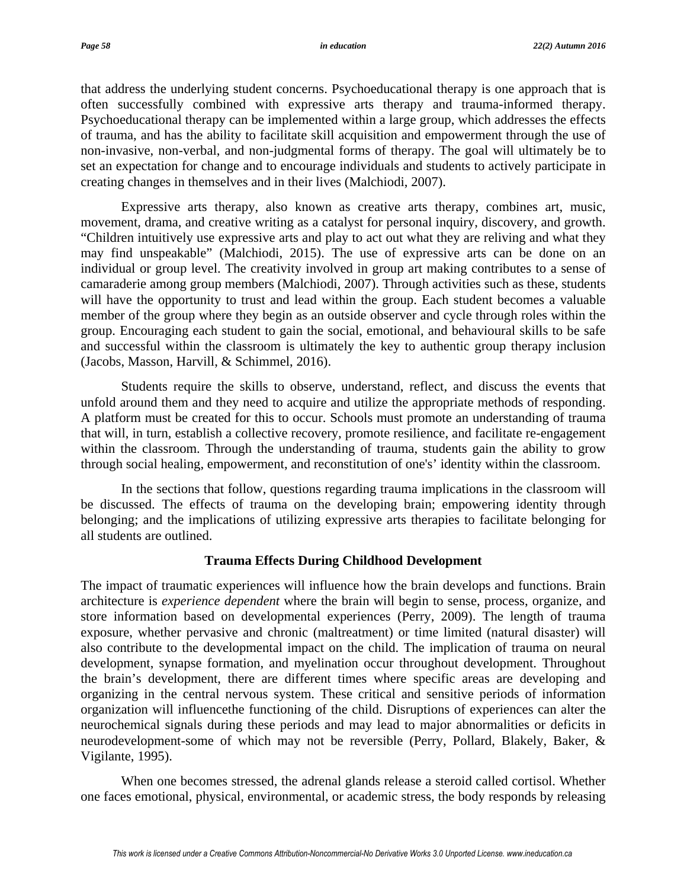that address the underlying student concerns. Psychoeducational therapy is one approach that is often successfully combined with expressive arts therapy and trauma-informed therapy. Psychoeducational therapy can be implemented within a large group, which addresses the effects of trauma, and has the ability to facilitate skill acquisition and empowerment through the use of non-invasive, non-verbal, and non-judgmental forms of therapy. The goal will ultimately be to set an expectation for change and to encourage individuals and students to actively participate in creating changes in themselves and in their lives (Malchiodi, 2007).

Expressive arts therapy, also known as creative arts therapy, combines art, music, movement, drama, and creative writing as a catalyst for personal inquiry, discovery, and growth. "Children intuitively use expressive arts and play to act out what they are reliving and what they may find unspeakable" (Malchiodi, 2015). The use of expressive arts can be done on an individual or group level. The creativity involved in group art making contributes to a sense of camaraderie among group members (Malchiodi, 2007). Through activities such as these, students will have the opportunity to trust and lead within the group. Each student becomes a valuable member of the group where they begin as an outside observer and cycle through roles within the group. Encouraging each student to gain the social, emotional, and behavioural skills to be safe and successful within the classroom is ultimately the key to authentic group therapy inclusion (Jacobs, Masson, Harvill, & Schimmel, 2016).

Students require the skills to observe, understand, reflect, and discuss the events that unfold around them and they need to acquire and utilize the appropriate methods of responding. A platform must be created for this to occur. Schools must promote an understanding of trauma that will, in turn, establish a collective recovery, promote resilience, and facilitate re-engagement within the classroom. Through the understanding of trauma, students gain the ability to grow through social healing, empowerment, and reconstitution of one's' identity within the classroom.

In the sections that follow, questions regarding trauma implications in the classroom will be discussed. The effects of trauma on the developing brain; empowering identity through belonging; and the implications of utilizing expressive arts therapies to facilitate belonging for all students are outlined.

#### **Trauma Effects During Childhood Development**

The impact of traumatic experiences will influence how the brain develops and functions. Brain architecture is *experience dependent* where the brain will begin to sense, process, organize, and store information based on developmental experiences (Perry, 2009). The length of trauma exposure, whether pervasive and chronic (maltreatment) or time limited (natural disaster) will also contribute to the developmental impact on the child. The implication of trauma on neural development, synapse formation, and myelination occur throughout development. Throughout the brain's development, there are different times where specific areas are developing and organizing in the central nervous system. These critical and sensitive periods of information organization will influencethe functioning of the child. Disruptions of experiences can alter the neurochemical signals during these periods and may lead to major abnormalities or deficits in neurodevelopment-some of which may not be reversible (Perry, Pollard, Blakely, Baker, & Vigilante, 1995).

When one becomes stressed, the adrenal glands release a steroid called cortisol. Whether one faces emotional, physical, environmental, or academic stress, the body responds by releasing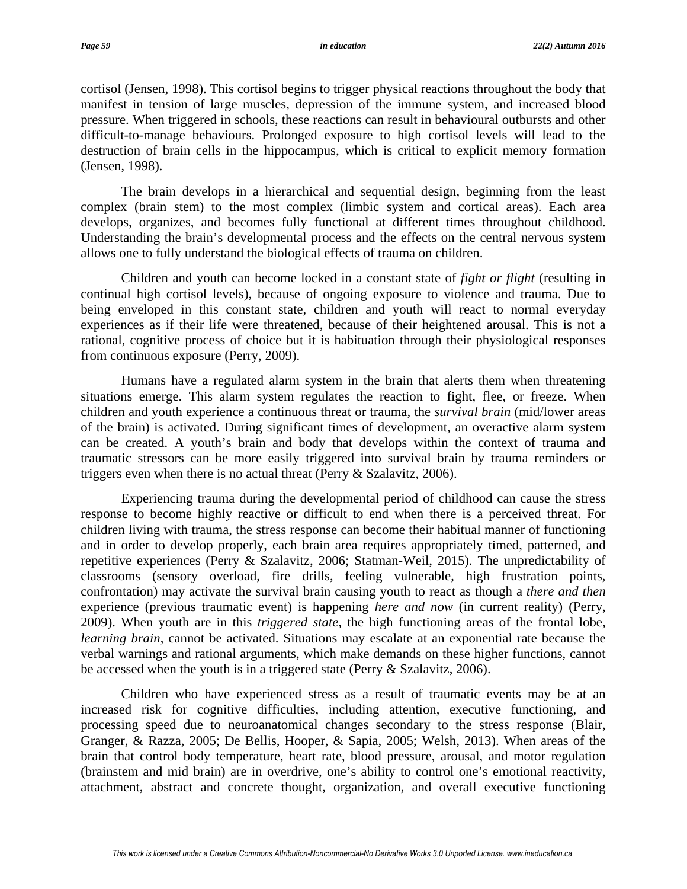cortisol (Jensen, 1998). This cortisol begins to trigger physical reactions throughout the body that manifest in tension of large muscles, depression of the immune system, and increased blood pressure. When triggered in schools, these reactions can result in behavioural outbursts and other difficult-to-manage behaviours. Prolonged exposure to high cortisol levels will lead to the destruction of brain cells in the hippocampus, which is critical to explicit memory formation (Jensen, 1998).

The brain develops in a hierarchical and sequential design, beginning from the least complex (brain stem) to the most complex (limbic system and cortical areas). Each area develops, organizes, and becomes fully functional at different times throughout childhood. Understanding the brain's developmental process and the effects on the central nervous system allows one to fully understand the biological effects of trauma on children.

Children and youth can become locked in a constant state of *fight or flight* (resulting in continual high cortisol levels), because of ongoing exposure to violence and trauma. Due to being enveloped in this constant state, children and youth will react to normal everyday experiences as if their life were threatened, because of their heightened arousal. This is not a rational, cognitive process of choice but it is habituation through their physiological responses from continuous exposure (Perry, 2009).

Humans have a regulated alarm system in the brain that alerts them when threatening situations emerge. This alarm system regulates the reaction to fight, flee, or freeze. When children and youth experience a continuous threat or trauma, the *survival brain* (mid/lower areas of the brain) is activated. During significant times of development, an overactive alarm system can be created. A youth's brain and body that develops within the context of trauma and traumatic stressors can be more easily triggered into survival brain by trauma reminders or triggers even when there is no actual threat (Perry & Szalavitz, 2006).

Experiencing trauma during the developmental period of childhood can cause the stress response to become highly reactive or difficult to end when there is a perceived threat. For children living with trauma, the stress response can become their habitual manner of functioning and in order to develop properly, each brain area requires appropriately timed, patterned, and repetitive experiences (Perry & Szalavitz, 2006; Statman-Weil, 2015). The unpredictability of classrooms (sensory overload, fire drills, feeling vulnerable, high frustration points, confrontation) may activate the survival brain causing youth to react as though a *there and then* experience (previous traumatic event) is happening *here and now* (in current reality) (Perry, 2009). When youth are in this *triggered state*, the high functioning areas of the frontal lobe, *learning brain*, cannot be activated. Situations may escalate at an exponential rate because the verbal warnings and rational arguments, which make demands on these higher functions, cannot be accessed when the youth is in a triggered state (Perry & Szalavitz, 2006).

Children who have experienced stress as a result of traumatic events may be at an increased risk for cognitive difficulties, including attention, executive functioning, and processing speed due to neuroanatomical changes secondary to the stress response (Blair, Granger, & Razza, 2005; De Bellis, Hooper, & Sapia, 2005; Welsh, 2013). When areas of the brain that control body temperature, heart rate, blood pressure, arousal, and motor regulation (brainstem and mid brain) are in overdrive, one's ability to control one's emotional reactivity, attachment, abstract and concrete thought, organization, and overall executive functioning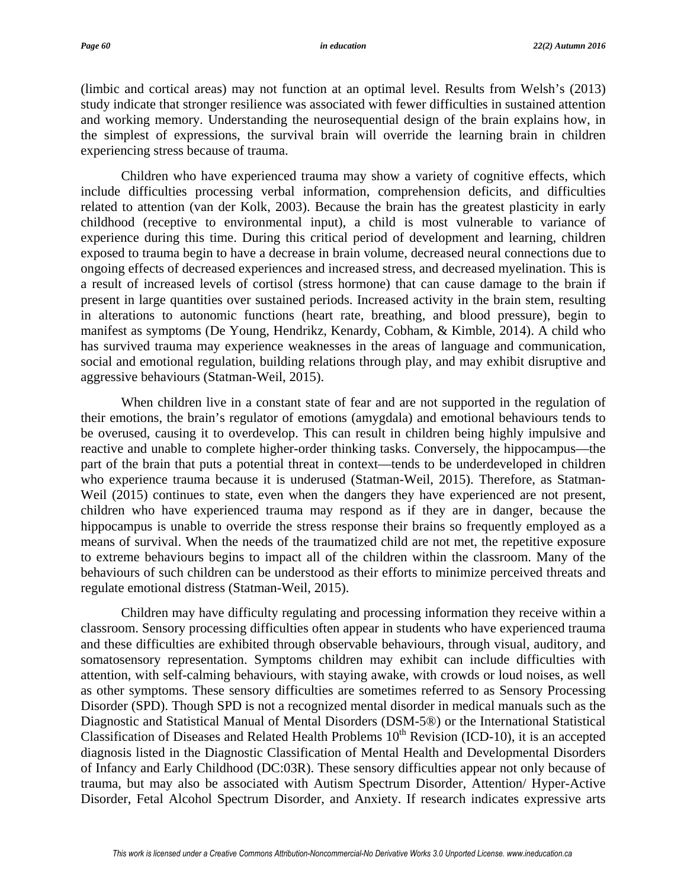(limbic and cortical areas) may not function at an optimal level. Results from Welsh's (2013) study indicate that stronger resilience was associated with fewer difficulties in sustained attention and working memory. Understanding the neurosequential design of the brain explains how, in the simplest of expressions, the survival brain will override the learning brain in children experiencing stress because of trauma.

Children who have experienced trauma may show a variety of cognitive effects, which include difficulties processing verbal information, comprehension deficits, and difficulties related to attention (van der Kolk, 2003). Because the brain has the greatest plasticity in early childhood (receptive to environmental input), a child is most vulnerable to variance of experience during this time. During this critical period of development and learning, children exposed to trauma begin to have a decrease in brain volume, decreased neural connections due to ongoing effects of decreased experiences and increased stress, and decreased myelination. This is a result of increased levels of cortisol (stress hormone) that can cause damage to the brain if present in large quantities over sustained periods. Increased activity in the brain stem, resulting in alterations to autonomic functions (heart rate, breathing, and blood pressure), begin to manifest as symptoms (De Young, Hendrikz, Kenardy, Cobham, & Kimble, 2014). A child who has survived trauma may experience weaknesses in the areas of language and communication, social and emotional regulation, building relations through play, and may exhibit disruptive and aggressive behaviours (Statman-Weil, 2015).

When children live in a constant state of fear and are not supported in the regulation of their emotions, the brain's regulator of emotions (amygdala) and emotional behaviours tends to be overused, causing it to overdevelop. This can result in children being highly impulsive and reactive and unable to complete higher-order thinking tasks. Conversely, the hippocampus—the part of the brain that puts a potential threat in context—tends to be underdeveloped in children who experience trauma because it is underused (Statman-Weil, 2015). Therefore, as Statman-Weil (2015) continues to state, even when the dangers they have experienced are not present, children who have experienced trauma may respond as if they are in danger, because the hippocampus is unable to override the stress response their brains so frequently employed as a means of survival. When the needs of the traumatized child are not met, the repetitive exposure to extreme behaviours begins to impact all of the children within the classroom. Many of the behaviours of such children can be understood as their efforts to minimize perceived threats and regulate emotional distress (Statman-Weil, 2015).

Children may have difficulty regulating and processing information they receive within a classroom. Sensory processing difficulties often appear in students who have experienced trauma and these difficulties are exhibited through observable behaviours, through visual, auditory, and somatosensory representation. Symptoms children may exhibit can include difficulties with attention, with self-calming behaviours, with staying awake, with crowds or loud noises, as well as other symptoms. These sensory difficulties are sometimes referred to as Sensory Processing Disorder (SPD). Though SPD is not a recognized mental disorder in medical manuals such as the Diagnostic and Statistical Manual of Mental Disorders (DSM-5®) or the International Statistical Classification of Diseases and Related Health Problems  $10<sup>th</sup>$  Revision (ICD-10), it is an accepted diagnosis listed in the Diagnostic Classification of Mental Health and Developmental Disorders of Infancy and Early Childhood (DC:03R). These sensory difficulties appear not only because of trauma, but may also be associated with Autism Spectrum Disorder, Attention/ Hyper-Active Disorder, Fetal Alcohol Spectrum Disorder, and Anxiety. If research indicates expressive arts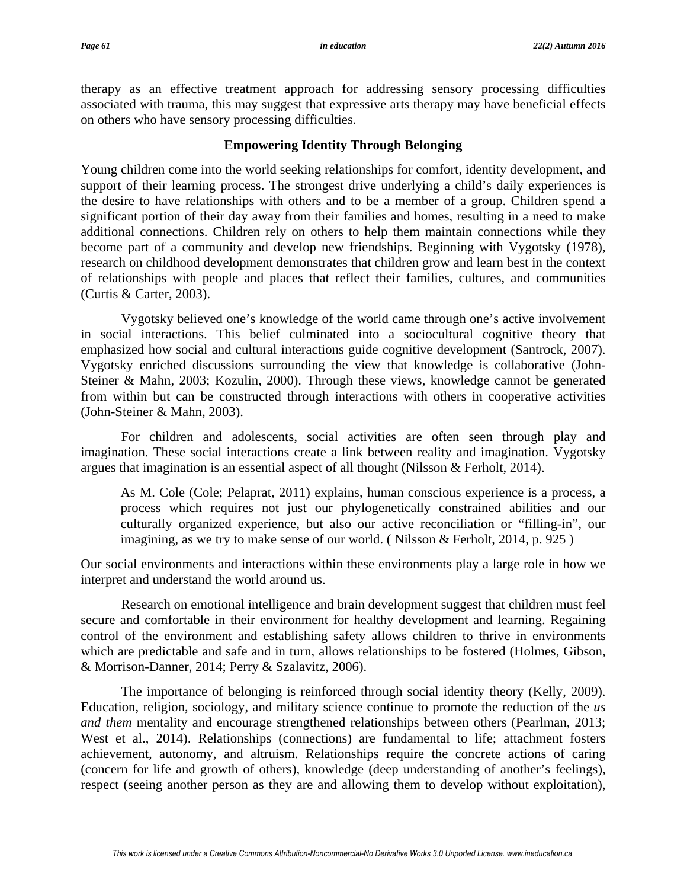therapy as an effective treatment approach for addressing sensory processing difficulties associated with trauma, this may suggest that expressive arts therapy may have beneficial effects on others who have sensory processing difficulties.

## **Empowering Identity Through Belonging**

Young children come into the world seeking relationships for comfort, identity development, and support of their learning process. The strongest drive underlying a child's daily experiences is the desire to have relationships with others and to be a member of a group. Children spend a significant portion of their day away from their families and homes, resulting in a need to make additional connections. Children rely on others to help them maintain connections while they become part of a community and develop new friendships. Beginning with Vygotsky (1978), research on childhood development demonstrates that children grow and learn best in the context of relationships with people and places that reflect their families, cultures, and communities (Curtis & Carter, 2003).

Vygotsky believed one's knowledge of the world came through one's active involvement in social interactions. This belief culminated into a sociocultural cognitive theory that emphasized how social and cultural interactions guide cognitive development (Santrock, 2007). Vygotsky enriched discussions surrounding the view that knowledge is collaborative (John-Steiner & Mahn, 2003; Kozulin, 2000). Through these views, knowledge cannot be generated from within but can be constructed through interactions with others in cooperative activities (John-Steiner & Mahn, 2003).

For children and adolescents, social activities are often seen through play and imagination. These social interactions create a link between reality and imagination. Vygotsky argues that imagination is an essential aspect of all thought (Nilsson & Ferholt, 2014).

As M. Cole (Cole; Pelaprat, 2011) explains, human conscious experience is a process, a process which requires not just our phylogenetically constrained abilities and our culturally organized experience, but also our active reconciliation or "filling-in", our imagining, as we try to make sense of our world. (Nilsson & Ferholt, 2014, p. 925)

Our social environments and interactions within these environments play a large role in how we interpret and understand the world around us.

Research on emotional intelligence and brain development suggest that children must feel secure and comfortable in their environment for healthy development and learning. Regaining control of the environment and establishing safety allows children to thrive in environments which are predictable and safe and in turn, allows relationships to be fostered (Holmes, Gibson, & Morrison-Danner, 2014; Perry & Szalavitz, 2006).

The importance of belonging is reinforced through social identity theory (Kelly, 2009). Education, religion, sociology, and military science continue to promote the reduction of the *us and them* mentality and encourage strengthened relationships between others (Pearlman, 2013; West et al., 2014). Relationships (connections) are fundamental to life; attachment fosters achievement, autonomy, and altruism. Relationships require the concrete actions of caring (concern for life and growth of others), knowledge (deep understanding of another's feelings), respect (seeing another person as they are and allowing them to develop without exploitation),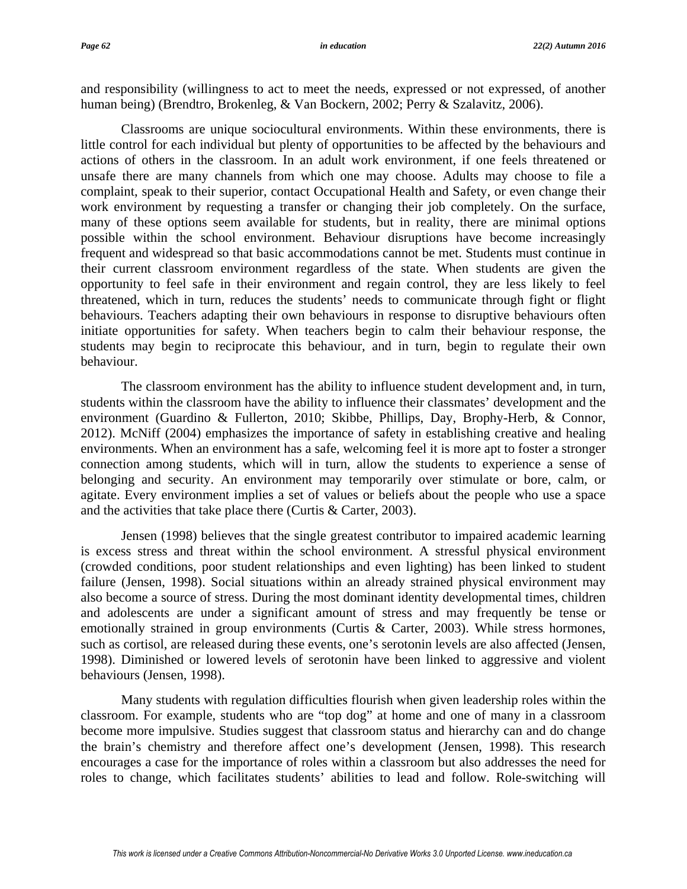and responsibility (willingness to act to meet the needs, expressed or not expressed, of another human being) (Brendtro, Brokenleg, & Van Bockern, 2002; Perry & Szalavitz, 2006).

Classrooms are unique sociocultural environments. Within these environments, there is little control for each individual but plenty of opportunities to be affected by the behaviours and actions of others in the classroom. In an adult work environment, if one feels threatened or unsafe there are many channels from which one may choose. Adults may choose to file a complaint, speak to their superior, contact Occupational Health and Safety, or even change their work environment by requesting a transfer or changing their job completely. On the surface, many of these options seem available for students, but in reality, there are minimal options possible within the school environment. Behaviour disruptions have become increasingly frequent and widespread so that basic accommodations cannot be met. Students must continue in their current classroom environment regardless of the state. When students are given the opportunity to feel safe in their environment and regain control, they are less likely to feel threatened, which in turn, reduces the students' needs to communicate through fight or flight behaviours. Teachers adapting their own behaviours in response to disruptive behaviours often initiate opportunities for safety. When teachers begin to calm their behaviour response, the students may begin to reciprocate this behaviour, and in turn, begin to regulate their own behaviour.

The classroom environment has the ability to influence student development and, in turn, students within the classroom have the ability to influence their classmates' development and the environment (Guardino & Fullerton, 2010; Skibbe, Phillips, Day, Brophy-Herb, & Connor, 2012). McNiff (2004) emphasizes the importance of safety in establishing creative and healing environments. When an environment has a safe, welcoming feel it is more apt to foster a stronger connection among students, which will in turn, allow the students to experience a sense of belonging and security. An environment may temporarily over stimulate or bore, calm, or agitate. Every environment implies a set of values or beliefs about the people who use a space and the activities that take place there (Curtis & Carter, 2003).

Jensen (1998) believes that the single greatest contributor to impaired academic learning is excess stress and threat within the school environment. A stressful physical environment (crowded conditions, poor student relationships and even lighting) has been linked to student failure (Jensen, 1998). Social situations within an already strained physical environment may also become a source of stress. During the most dominant identity developmental times, children and adolescents are under a significant amount of stress and may frequently be tense or emotionally strained in group environments (Curtis & Carter, 2003). While stress hormones, such as cortisol, are released during these events, one's serotonin levels are also affected (Jensen, 1998). Diminished or lowered levels of serotonin have been linked to aggressive and violent behaviours (Jensen, 1998).

Many students with regulation difficulties flourish when given leadership roles within the classroom. For example, students who are "top dog" at home and one of many in a classroom become more impulsive. Studies suggest that classroom status and hierarchy can and do change the brain's chemistry and therefore affect one's development (Jensen, 1998). This research encourages a case for the importance of roles within a classroom but also addresses the need for roles to change, which facilitates students' abilities to lead and follow. Role-switching will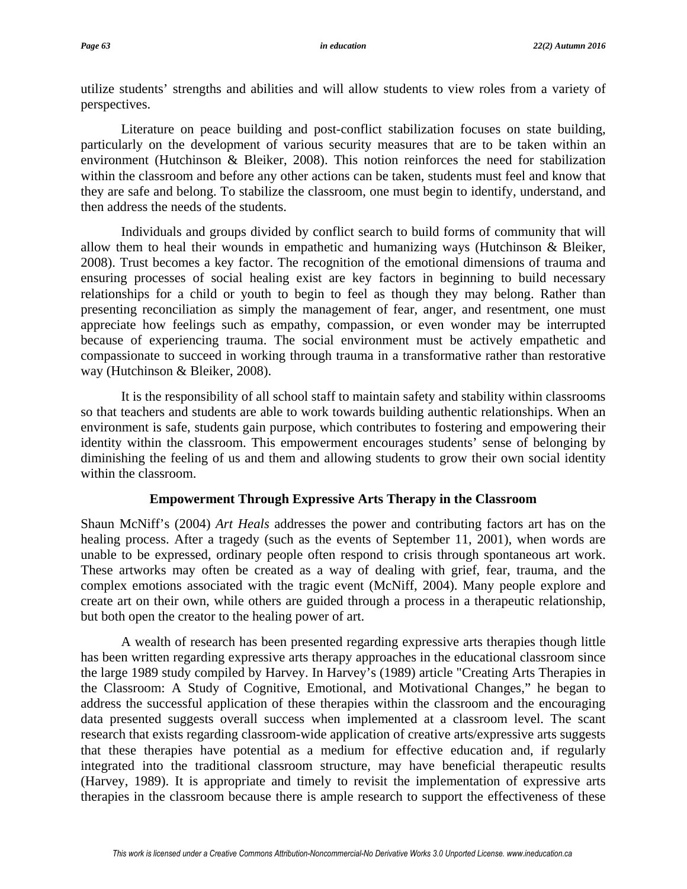utilize students' strengths and abilities and will allow students to view roles from a variety of perspectives.

Literature on peace building and post-conflict stabilization focuses on state building, particularly on the development of various security measures that are to be taken within an environment (Hutchinson & Bleiker, 2008). This notion reinforces the need for stabilization within the classroom and before any other actions can be taken, students must feel and know that they are safe and belong. To stabilize the classroom, one must begin to identify, understand, and then address the needs of the students.

Individuals and groups divided by conflict search to build forms of community that will allow them to heal their wounds in empathetic and humanizing ways (Hutchinson & Bleiker, 2008). Trust becomes a key factor. The recognition of the emotional dimensions of trauma and ensuring processes of social healing exist are key factors in beginning to build necessary relationships for a child or youth to begin to feel as though they may belong. Rather than presenting reconciliation as simply the management of fear, anger, and resentment, one must appreciate how feelings such as empathy, compassion, or even wonder may be interrupted because of experiencing trauma. The social environment must be actively empathetic and compassionate to succeed in working through trauma in a transformative rather than restorative way (Hutchinson & Bleiker, 2008).

It is the responsibility of all school staff to maintain safety and stability within classrooms so that teachers and students are able to work towards building authentic relationships. When an environment is safe, students gain purpose, which contributes to fostering and empowering their identity within the classroom. This empowerment encourages students' sense of belonging by diminishing the feeling of us and them and allowing students to grow their own social identity within the classroom.

#### **Empowerment Through Expressive Arts Therapy in the Classroom**

Shaun McNiff's (2004) *Art Heals* addresses the power and contributing factors art has on the healing process. After a tragedy (such as the events of September 11, 2001), when words are unable to be expressed, ordinary people often respond to crisis through spontaneous art work. These artworks may often be created as a way of dealing with grief, fear, trauma, and the complex emotions associated with the tragic event (McNiff, 2004). Many people explore and create art on their own, while others are guided through a process in a therapeutic relationship, but both open the creator to the healing power of art.

A wealth of research has been presented regarding expressive arts therapies though little has been written regarding expressive arts therapy approaches in the educational classroom since the large 1989 study compiled by Harvey. In Harvey's (1989) article "Creating Arts Therapies in the Classroom: A Study of Cognitive, Emotional, and Motivational Changes," he began to address the successful application of these therapies within the classroom and the encouraging data presented suggests overall success when implemented at a classroom level. The scant research that exists regarding classroom-wide application of creative arts/expressive arts suggests that these therapies have potential as a medium for effective education and, if regularly integrated into the traditional classroom structure, may have beneficial therapeutic results (Harvey, 1989). It is appropriate and timely to revisit the implementation of expressive arts therapies in the classroom because there is ample research to support the effectiveness of these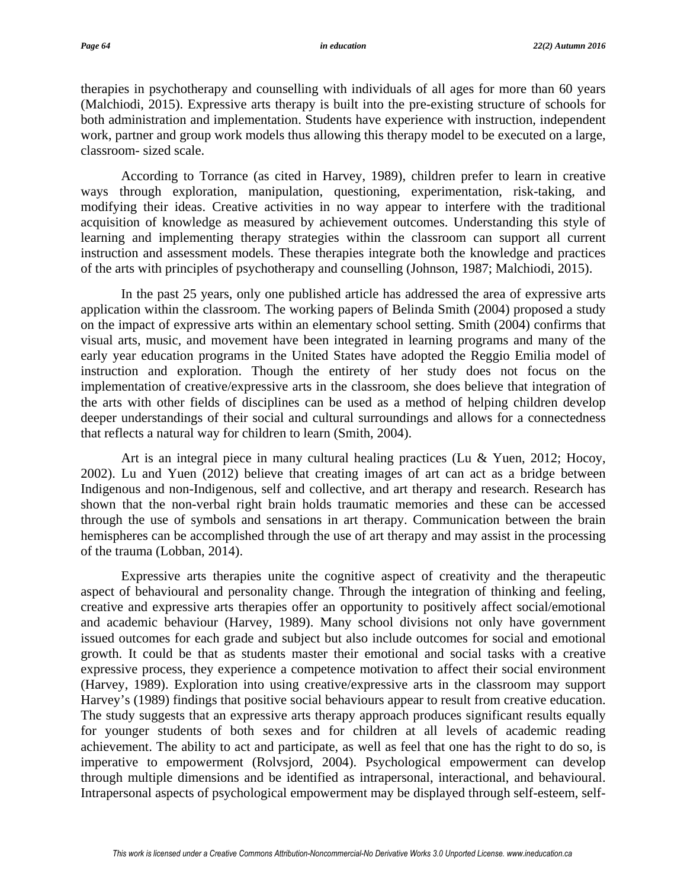therapies in psychotherapy and counselling with individuals of all ages for more than 60 years (Malchiodi, 2015). Expressive arts therapy is built into the pre-existing structure of schools for both administration and implementation. Students have experience with instruction, independent work, partner and group work models thus allowing this therapy model to be executed on a large, classroom- sized scale.

According to Torrance (as cited in Harvey, 1989), children prefer to learn in creative ways through exploration, manipulation, questioning, experimentation, risk-taking, and modifying their ideas. Creative activities in no way appear to interfere with the traditional acquisition of knowledge as measured by achievement outcomes. Understanding this style of learning and implementing therapy strategies within the classroom can support all current instruction and assessment models. These therapies integrate both the knowledge and practices of the arts with principles of psychotherapy and counselling (Johnson, 1987; Malchiodi, 2015).

In the past 25 years, only one published article has addressed the area of expressive arts application within the classroom. The working papers of Belinda Smith (2004) proposed a study on the impact of expressive arts within an elementary school setting. Smith (2004) confirms that visual arts, music, and movement have been integrated in learning programs and many of the early year education programs in the United States have adopted the Reggio Emilia model of instruction and exploration. Though the entirety of her study does not focus on the implementation of creative/expressive arts in the classroom, she does believe that integration of the arts with other fields of disciplines can be used as a method of helping children develop deeper understandings of their social and cultural surroundings and allows for a connectedness that reflects a natural way for children to learn (Smith, 2004).

Art is an integral piece in many cultural healing practices (Lu & Yuen, 2012; Hocoy, 2002). Lu and Yuen (2012) believe that creating images of art can act as a bridge between Indigenous and non-Indigenous, self and collective, and art therapy and research. Research has shown that the non-verbal right brain holds traumatic memories and these can be accessed through the use of symbols and sensations in art therapy. Communication between the brain hemispheres can be accomplished through the use of art therapy and may assist in the processing of the trauma (Lobban, 2014).

Expressive arts therapies unite the cognitive aspect of creativity and the therapeutic aspect of behavioural and personality change. Through the integration of thinking and feeling, creative and expressive arts therapies offer an opportunity to positively affect social/emotional and academic behaviour (Harvey, 1989). Many school divisions not only have government issued outcomes for each grade and subject but also include outcomes for social and emotional growth. It could be that as students master their emotional and social tasks with a creative expressive process, they experience a competence motivation to affect their social environment (Harvey, 1989). Exploration into using creative/expressive arts in the classroom may support Harvey's (1989) findings that positive social behaviours appear to result from creative education. The study suggests that an expressive arts therapy approach produces significant results equally for younger students of both sexes and for children at all levels of academic reading achievement. The ability to act and participate, as well as feel that one has the right to do so, is imperative to empowerment (Rolvsjord, 2004). Psychological empowerment can develop through multiple dimensions and be identified as intrapersonal, interactional, and behavioural. Intrapersonal aspects of psychological empowerment may be displayed through self-esteem, self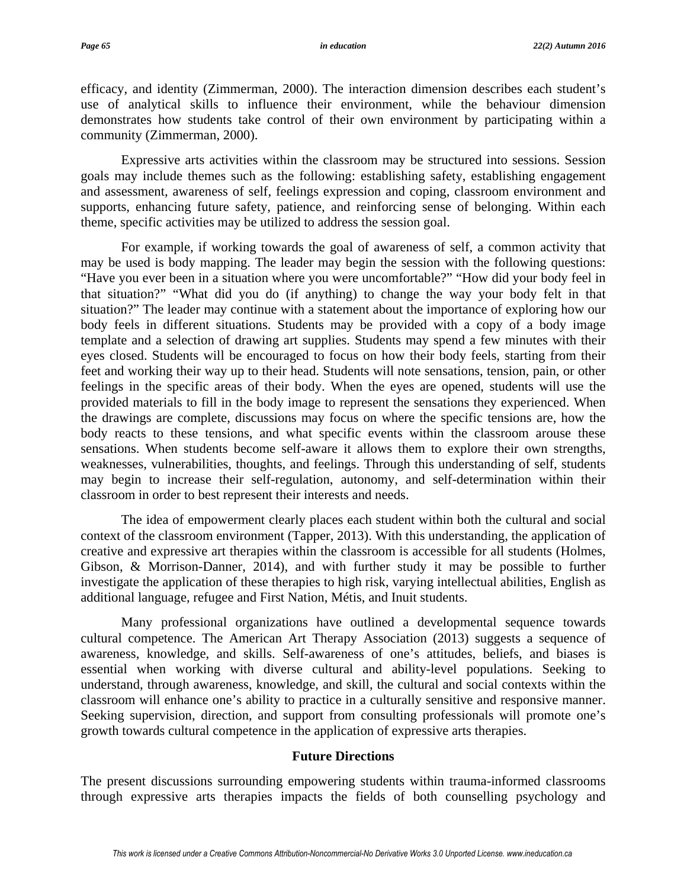efficacy, and identity (Zimmerman, 2000). The interaction dimension describes each student's use of analytical skills to influence their environment, while the behaviour dimension demonstrates how students take control of their own environment by participating within a community (Zimmerman, 2000).

Expressive arts activities within the classroom may be structured into sessions. Session goals may include themes such as the following: establishing safety, establishing engagement and assessment, awareness of self, feelings expression and coping, classroom environment and supports, enhancing future safety, patience, and reinforcing sense of belonging. Within each theme, specific activities may be utilized to address the session goal.

For example, if working towards the goal of awareness of self, a common activity that may be used is body mapping. The leader may begin the session with the following questions: "Have you ever been in a situation where you were uncomfortable?" "How did your body feel in that situation?" "What did you do (if anything) to change the way your body felt in that situation?" The leader may continue with a statement about the importance of exploring how our body feels in different situations. Students may be provided with a copy of a body image template and a selection of drawing art supplies. Students may spend a few minutes with their eyes closed. Students will be encouraged to focus on how their body feels, starting from their feet and working their way up to their head. Students will note sensations, tension, pain, or other feelings in the specific areas of their body. When the eyes are opened, students will use the provided materials to fill in the body image to represent the sensations they experienced. When the drawings are complete, discussions may focus on where the specific tensions are, how the body reacts to these tensions, and what specific events within the classroom arouse these sensations. When students become self-aware it allows them to explore their own strengths, weaknesses, vulnerabilities, thoughts, and feelings. Through this understanding of self, students may begin to increase their self-regulation, autonomy, and self-determination within their classroom in order to best represent their interests and needs.

The idea of empowerment clearly places each student within both the cultural and social context of the classroom environment (Tapper, 2013). With this understanding, the application of creative and expressive art therapies within the classroom is accessible for all students (Holmes, Gibson, & Morrison-Danner, 2014), and with further study it may be possible to further investigate the application of these therapies to high risk, varying intellectual abilities, English as additional language, refugee and First Nation, Métis, and Inuit students.

Many professional organizations have outlined a developmental sequence towards cultural competence. The American Art Therapy Association (2013) suggests a sequence of awareness, knowledge, and skills. Self-awareness of one's attitudes, beliefs, and biases is essential when working with diverse cultural and ability-level populations. Seeking to understand, through awareness, knowledge, and skill, the cultural and social contexts within the classroom will enhance one's ability to practice in a culturally sensitive and responsive manner. Seeking supervision, direction, and support from consulting professionals will promote one's growth towards cultural competence in the application of expressive arts therapies.

#### **Future Directions**

The present discussions surrounding empowering students within trauma-informed classrooms through expressive arts therapies impacts the fields of both counselling psychology and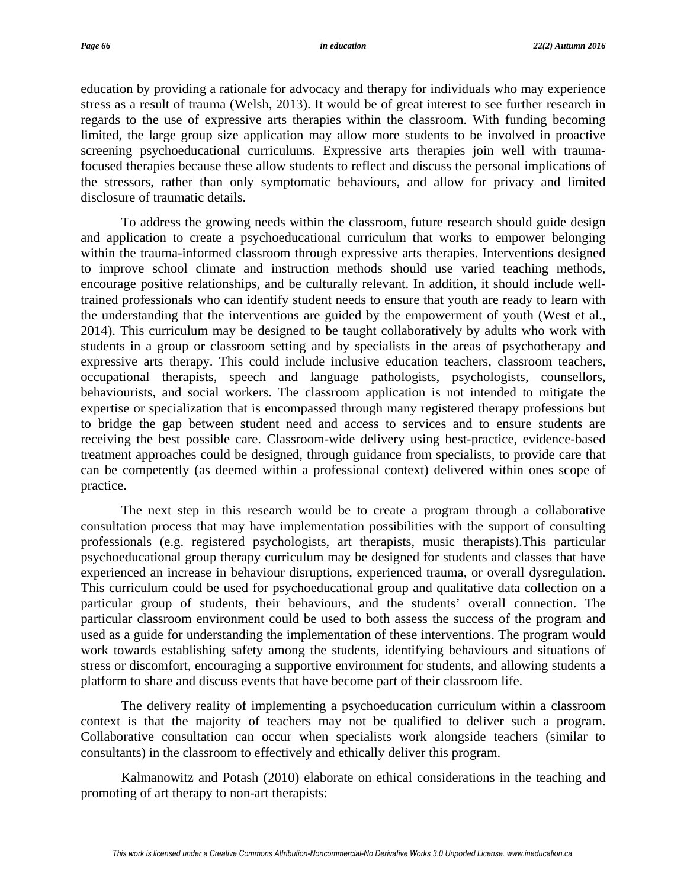education by providing a rationale for advocacy and therapy for individuals who may experience stress as a result of trauma (Welsh, 2013). It would be of great interest to see further research in regards to the use of expressive arts therapies within the classroom. With funding becoming limited, the large group size application may allow more students to be involved in proactive screening psychoeducational curriculums. Expressive arts therapies join well with traumafocused therapies because these allow students to reflect and discuss the personal implications of the stressors, rather than only symptomatic behaviours, and allow for privacy and limited disclosure of traumatic details.

To address the growing needs within the classroom, future research should guide design and application to create a psychoeducational curriculum that works to empower belonging within the trauma-informed classroom through expressive arts therapies. Interventions designed to improve school climate and instruction methods should use varied teaching methods, encourage positive relationships, and be culturally relevant. In addition, it should include welltrained professionals who can identify student needs to ensure that youth are ready to learn with the understanding that the interventions are guided by the empowerment of youth (West et al., 2014). This curriculum may be designed to be taught collaboratively by adults who work with students in a group or classroom setting and by specialists in the areas of psychotherapy and expressive arts therapy. This could include inclusive education teachers, classroom teachers, occupational therapists, speech and language pathologists, psychologists, counsellors, behaviourists, and social workers. The classroom application is not intended to mitigate the expertise or specialization that is encompassed through many registered therapy professions but to bridge the gap between student need and access to services and to ensure students are receiving the best possible care. Classroom-wide delivery using best-practice, evidence-based treatment approaches could be designed, through guidance from specialists, to provide care that can be competently (as deemed within a professional context) delivered within ones scope of practice.

The next step in this research would be to create a program through a collaborative consultation process that may have implementation possibilities with the support of consulting professionals (e.g. registered psychologists, art therapists, music therapists).This particular psychoeducational group therapy curriculum may be designed for students and classes that have experienced an increase in behaviour disruptions, experienced trauma, or overall dysregulation. This curriculum could be used for psychoeducational group and qualitative data collection on a particular group of students, their behaviours, and the students' overall connection. The particular classroom environment could be used to both assess the success of the program and used as a guide for understanding the implementation of these interventions. The program would work towards establishing safety among the students, identifying behaviours and situations of stress or discomfort, encouraging a supportive environment for students, and allowing students a platform to share and discuss events that have become part of their classroom life.

The delivery reality of implementing a psychoeducation curriculum within a classroom context is that the majority of teachers may not be qualified to deliver such a program. Collaborative consultation can occur when specialists work alongside teachers (similar to consultants) in the classroom to effectively and ethically deliver this program.

Kalmanowitz and Potash (2010) elaborate on ethical considerations in the teaching and promoting of art therapy to non-art therapists: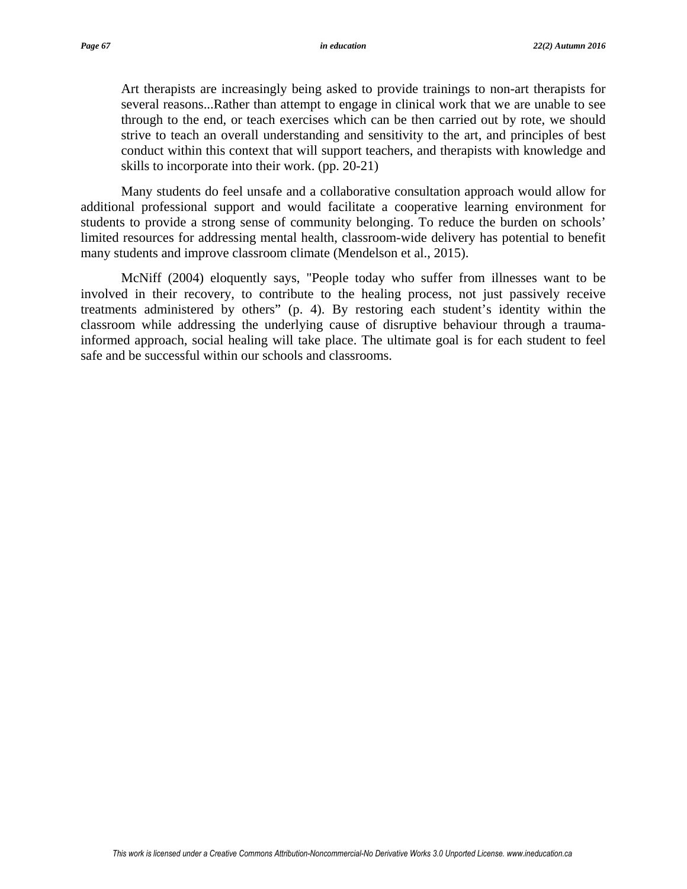Art therapists are increasingly being asked to provide trainings to non-art therapists for several reasons...Rather than attempt to engage in clinical work that we are unable to see through to the end, or teach exercises which can be then carried out by rote, we should strive to teach an overall understanding and sensitivity to the art, and principles of best conduct within this context that will support teachers, and therapists with knowledge and skills to incorporate into their work. (pp. 20-21)

Many students do feel unsafe and a collaborative consultation approach would allow for additional professional support and would facilitate a cooperative learning environment for students to provide a strong sense of community belonging. To reduce the burden on schools' limited resources for addressing mental health, classroom-wide delivery has potential to benefit many students and improve classroom climate (Mendelson et al., 2015).

McNiff (2004) eloquently says, "People today who suffer from illnesses want to be involved in their recovery, to contribute to the healing process, not just passively receive treatments administered by others" (p. 4). By restoring each student's identity within the classroom while addressing the underlying cause of disruptive behaviour through a traumainformed approach, social healing will take place. The ultimate goal is for each student to feel safe and be successful within our schools and classrooms.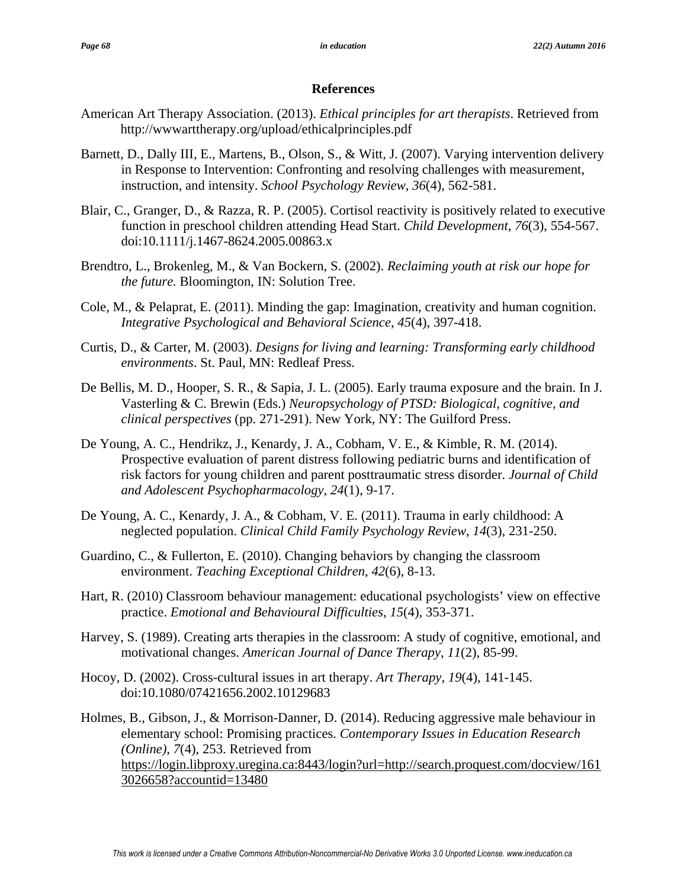### **References**

- American Art Therapy Association. (2013). *Ethical principles for art therapists*. Retrieved from http://wwwarttherapy.org/upload/ethicalprinciples.pdf
- Barnett, D., Dally III, E., Martens, B., Olson, S., & Witt, J. (2007). Varying intervention delivery in Response to Intervention: Confronting and resolving challenges with measurement, instruction, and intensity. *School Psychology Review*, *36*(4), 562-581.
- Blair, C., Granger, D., & Razza, R. P. (2005). Cortisol reactivity is positively related to executive function in preschool children attending Head Start. *Child Development*, *76*(3), 554-567. doi:10.1111/j.1467-8624.2005.00863.x
- Brendtro, L., Brokenleg, M., & Van Bockern, S. (2002). *Reclaiming youth at risk our hope for the future.* Bloomington, IN: Solution Tree.
- Cole, M., & Pelaprat, E. (2011). Minding the gap: Imagination, creativity and human cognition. *Integrative Psychological and Behavioral Science*, *45*(4), 397-418.
- Curtis, D., & Carter, M. (2003). *Designs for living and learning: Transforming early childhood environments*. St. Paul, MN: Redleaf Press.
- De Bellis, M. D., Hooper, S. R., & Sapia, J. L. (2005). Early trauma exposure and the brain. In J. Vasterling & C. Brewin (Eds.) *Neuropsychology of PTSD: Biological, cognitive, and clinical perspectives* (pp. 271-291). New York, NY: The Guilford Press.
- De Young, A. C., Hendrikz, J., Kenardy, J. A., Cobham, V. E., & Kimble, R. M. (2014). Prospective evaluation of parent distress following pediatric burns and identification of risk factors for young children and parent posttraumatic stress disorder. *Journal of Child and Adolescent Psychopharmacology*, *24*(1), 9-17.
- De Young, A. C., Kenardy, J. A., & Cobham, V. E. (2011). Trauma in early childhood: A neglected population. *Clinical Child Family Psychology Review*, *14*(3), 231-250.
- Guardino, C., & Fullerton, E. (2010). Changing behaviors by changing the classroom environment. *Teaching Exceptional Children*, *42*(6), 8-13.
- Hart, R. (2010) Classroom behaviour management: educational psychologists' view on effective practice. *Emotional and Behavioural Difficulties*, *15*(4), 353-371.
- Harvey, S. (1989). Creating arts therapies in the classroom: A study of cognitive, emotional, and motivational changes. *American Journal of Dance Therapy*, *11*(2), 85-99.
- Hocoy, D. (2002). Cross-cultural issues in art therapy. *Art Therapy, 19*(4), 141-145. doi:10.1080/07421656.2002.10129683
- Holmes, B., Gibson, J., & Morrison-Danner, D. (2014). Reducing aggressive male behaviour in elementary school: Promising practices. *Contemporary Issues in Education Research (Online), 7*(4), 253. Retrieved from https://login.libproxy.uregina.ca:8443/login?url=http://search.proquest.com/docview/161 3026658?accountid=13480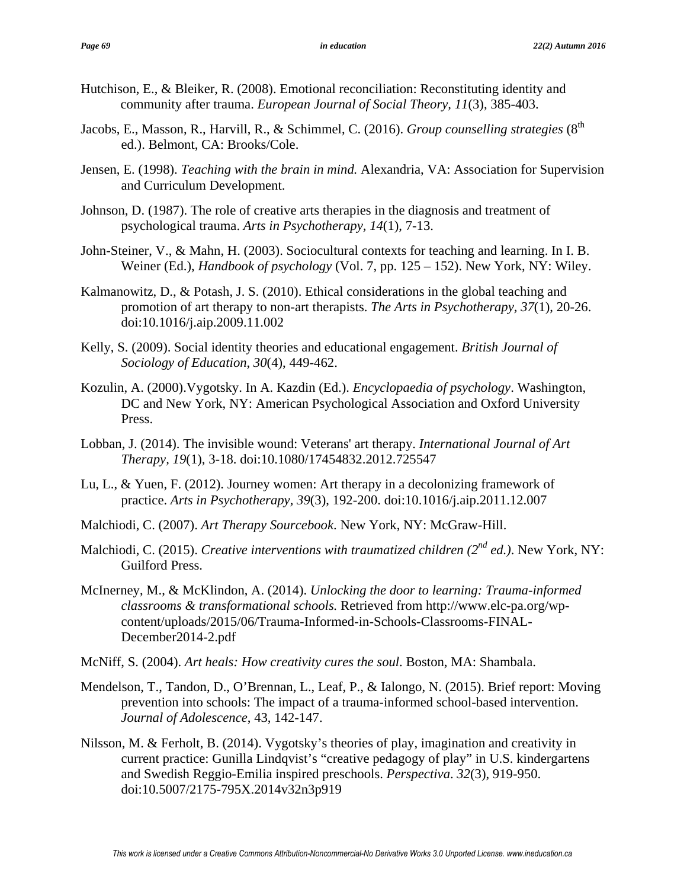- Hutchison, E., & Bleiker, R. (2008). Emotional reconciliation: Reconstituting identity and community after trauma. *European Journal of Social Theory, 11*(3), 385-403.
- Jacobs, E., Masson, R., Harvill, R., & Schimmel, C. (2016). *Group counselling strategies* (8<sup>th</sup>) ed.). Belmont, CA: Brooks/Cole.
- Jensen, E. (1998). *Teaching with the brain in mind.* Alexandria, VA: Association for Supervision and Curriculum Development.
- Johnson, D. (1987). The role of creative arts therapies in the diagnosis and treatment of psychological trauma. *Arts in Psychotherapy, 14*(1), 7-13.
- John-Steiner, V., & Mahn, H. (2003). Sociocultural contexts for teaching and learning. In I. B. Weiner (Ed.), *Handbook of psychology* (Vol. 7, pp. 125 – 152). New York, NY: Wiley.
- Kalmanowitz, D., & Potash, J. S. (2010). Ethical considerations in the global teaching and promotion of art therapy to non-art therapists. *The Arts in Psychotherapy, 37*(1), 20-26. doi:10.1016/j.aip.2009.11.002
- Kelly, S. (2009). Social identity theories and educational engagement. *British Journal of Sociology of Education*, *30*(4), 449-462.
- Kozulin, A. (2000).Vygotsky. In A. Kazdin (Ed.). *Encyclopaedia of psychology*. Washington, DC and New York, NY: American Psychological Association and Oxford University Press.
- Lobban, J. (2014). The invisible wound: Veterans' art therapy. *International Journal of Art Therapy, 19*(1), 3-18. doi:10.1080/17454832.2012.725547
- Lu, L., & Yuen, F. (2012). Journey women: Art therapy in a decolonizing framework of practice. *Arts in Psychotherapy, 39*(3), 192-200. doi:10.1016/j.aip.2011.12.007
- Malchiodi, C. (2007). *Art Therapy Sourcebook*. New York, NY: McGraw-Hill.
- Malchiodi, C. (2015). *Creative interventions with traumatized children (2<sup>nd</sup> ed.)*. New York, NY: Guilford Press.
- McInerney, M., & McKlindon, A. (2014). *Unlocking the door to learning: Trauma-informed classrooms & transformational schools.* Retrieved from http://www.elc-pa.org/wpcontent/uploads/2015/06/Trauma-Informed-in-Schools-Classrooms-FINAL-December2014-2.pdf
- McNiff, S. (2004). *Art heals: How creativity cures the soul*. Boston, MA: Shambala.
- Mendelson, T., Tandon, D., O'Brennan, L., Leaf, P., & Ialongo, N. (2015). Brief report: Moving prevention into schools: The impact of a trauma-informed school-based intervention. *Journal of Adolescence*, 43, 142-147.
- Nilsson, M. & Ferholt, B. (2014). Vygotsky's theories of play, imagination and creativity in current practice: Gunilla Lindqvist's "creative pedagogy of play" in U.S. kindergartens and Swedish Reggio-Emilia inspired preschools. *Perspectiva*. *32*(3), 919-950. doi:10.5007/2175-795X.2014v32n3p919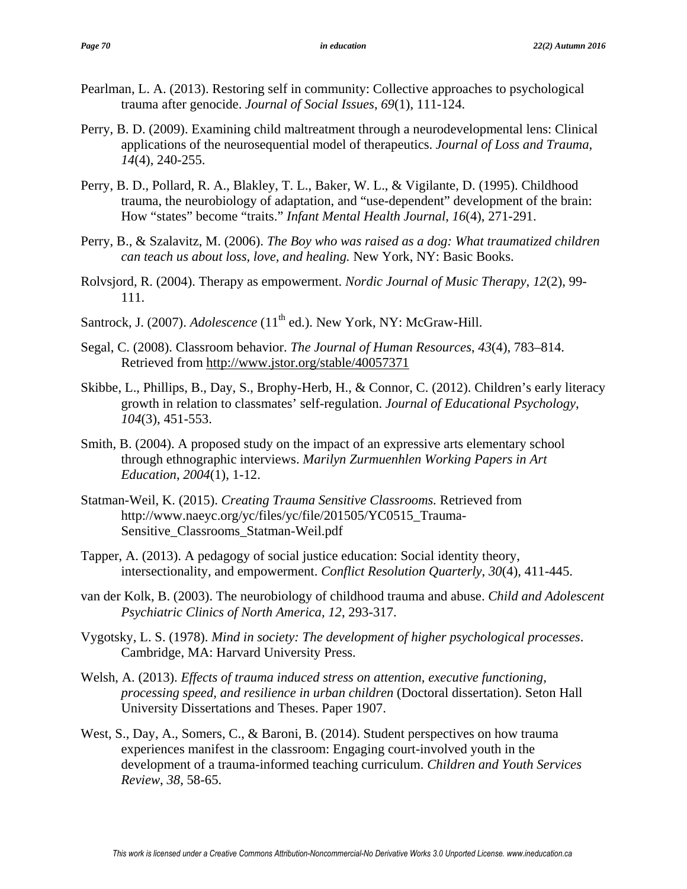- Pearlman, L. A. (2013). Restoring self in community: Collective approaches to psychological trauma after genocide. *Journal of Social Issues*, *69*(1), 111-124.
- Perry, B. D. (2009). Examining child maltreatment through a neurodevelopmental lens: Clinical applications of the neurosequential model of therapeutics. *Journal of Loss and Trauma*, *14*(4), 240-255.
- Perry, B. D., Pollard, R. A., Blakley, T. L., Baker, W. L., & Vigilante, D. (1995). Childhood trauma, the neurobiology of adaptation, and "use-dependent" development of the brain: How "states" become "traits." *Infant Mental Health Journal*, *16*(4), 271-291.
- Perry, B., & Szalavitz, M. (2006). *The Boy who was raised as a dog: What traumatized children can teach us about loss, love, and healing.* New York, NY: Basic Books.
- Rolvsjord, R. (2004). Therapy as empowerment. *Nordic Journal of Music Therapy*, *12*(2), 99- 111.
- Santrock, J. (2007). *Adolescence* (11<sup>th</sup> ed.). New York, NY: McGraw-Hill.
- Segal, C. (2008). Classroom behavior. *The Journal of Human Resources*, *43*(4), 783–814. Retrieved from http://www.jstor.org/stable/40057371
- Skibbe, L., Phillips, B., Day, S., Brophy-Herb, H., & Connor, C. (2012). Children's early literacy growth in relation to classmates' self-regulation. *Journal of Educational Psychology*, *104*(3), 451-553.
- Smith, B. (2004). A proposed study on the impact of an expressive arts elementary school through ethnographic interviews. *Marilyn Zurmuenhlen Working Papers in Art Education*, *2004*(1), 1-12.
- Statman-Weil, K. (2015). *Creating Trauma Sensitive Classrooms.* Retrieved from http://www.naeyc.org/yc/files/yc/file/201505/YC0515\_Trauma-Sensitive\_Classrooms\_Statman-Weil.pdf
- Tapper, A. (2013). A pedagogy of social justice education: Social identity theory, intersectionality, and empowerment. *Conflict Resolution Quarterly*, *30*(4), 411-445.
- van der Kolk, B. (2003). The neurobiology of childhood trauma and abuse. *Child and Adolescent Psychiatric Clinics of North America, 12*, 293-317.
- Vygotsky, L. S. (1978). *Mind in society: The development of higher psychological processes*. Cambridge, MA: Harvard University Press.
- Welsh, A. (2013). *Effects of trauma induced stress on attention, executive functioning, processing speed, and resilience in urban children* (Doctoral dissertation). Seton Hall University Dissertations and Theses. Paper 1907.
- West, S., Day, A., Somers, C., & Baroni, B. (2014). Student perspectives on how trauma experiences manifest in the classroom: Engaging court-involved youth in the development of a trauma-informed teaching curriculum. *Children and Youth Services Review*, *38*, 58-65.